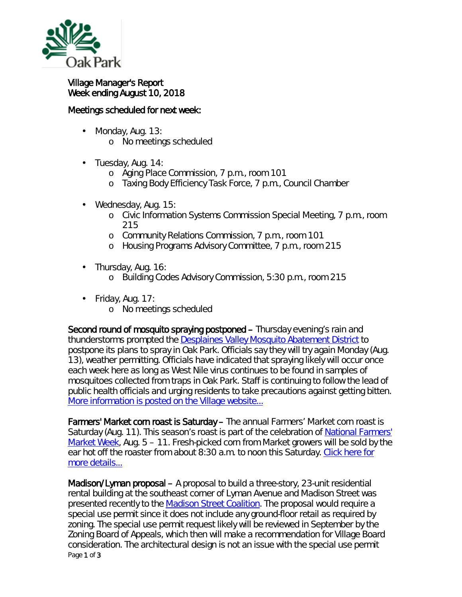

## Village Manager's Report Week ending August 10, 2018

## Meetings scheduled for next week:

- ä, Monday, Aug. 13:
	- o No meetings scheduled
- ä, Tuesday, Aug. 14:
	- o Aging Place Commission, 7 p.m., room 101
	- o Taxing Body Efficiency Task Force, 7 p.m., Council Chamber
- Wednesday, Aug. 15: ä,
	- o Civic Information Systems Commission Special Meeting, 7 p.m., room 215
	- o Community Relations Commission, 7 p.m., room 101
	- o Housing Programs Advisory Committee, 7 p.m., room 215
- . Thursday, Aug. 16:
	- o Building Codes Advisory Commission, 5:30 p.m., room 215
- $\cdot$  Friday, Aug. 17:
	- o No meetings scheduled

Second round of mosquito spraying postponed – Thursday evening's rain and thunderstorms prompted the [Desplaines Valley Mosquito Abatement District](http://r20.rs6.net/tn.jsp?f=001ep9mo9ogrMGvhsS6nzjqm1XvOZvFkhEz10AjVK31UHWgAfBH8Sa4vTTLdC2nHPtk59acKlI5czL1nIUDZkSAQBiW2xAJEcU3N05lhcW7hjudnKaEfSGyfwMAsBNuXVWwZ1t6OZgohLMw0J7sa1SqO8jLct3vMaF4KLDEuycU-GgclJ4d8qDoXfs5rW5ehYWEP650nrGYCdeGq_YNOinRPqng8zF2gLshW8JC7LI0jXa_j8JfESMbsGyovv-iv8TfPGnTVdH2lLqIyterMHBsragN4WF6UbRKnoqT0wrwVKw=&c=7jhV51ehk8yf47SGHhStUyvhl1BtWwwWgZmeOUmfxkrpcjPvGGd1fQ==&ch=DX1goCcwO7QxeZBMDno3tZr86dfR7kPv1uzYOCs2KtHSoQhCUk15YA==) to postpone its plans to spray in Oak Park. Officials say they will try again Monday (Aug. 13), weather permitting. Officials have indicated that spraying likely will occur once each week here as long as West Nile virus continues to be found in samples of mosquitoes collected from traps in Oak Park. Staff is continuing to follow the lead of public health officials and urging residents to take precautions against getting bitten. More [information is posted on the Village website...](http://r20.rs6.net/tn.jsp?f=001ep9mo9ogrMGvhsS6nzjqm1XvOZvFkhEz10AjVK31UHWgAfBH8Sa4vbmE9uXXS4Yx-Shbja8OCGDn42om33Z6uIlEIgFGBXjk8lQm5GuPaIyybGoY0CMKDq7O113OosWBZE6o3xqfPP1yCeHre1D5rZo7wCgR2B2898d4SruicJ9nYyFfP4uxQtcvTNrlXFWw4ybfP97Q69j2VgvA-QY8tcUf4ymQSF-pCviWH708nAOj6HBYC_bUhdy2Wv61clZ-KHGAAAqLdk5RhvLMX8dXj3EL20rlf4S8EGvDv65HLrvZJ08RfPa_tX6-qnM_vSNayw9wxX6_USshM3tej2KMnzyd6Q6n6BKsY7KiJ3u_0ODnLFUC8U_F4w==&c=7jhV51ehk8yf47SGHhStUyvhl1BtWwwWgZmeOUmfxkrpcjPvGGd1fQ==&ch=DX1goCcwO7QxeZBMDno3tZr86dfR7kPv1uzYOCs2KtHSoQhCUk15YA==)

Farmers' Market corn roast is Saturday – The annual Farmers' Market corn roast is Saturday (Aug. 11). This season's roast is part of the celebration of [National Farmers'](https://farmersmarketcoalition.org/national-farmers-market-week/)  [Market Week,](https://farmersmarketcoalition.org/national-farmers-market-week/) Aug. 5 – 11. Fresh-picked corn from Market growers will be sold by the ear hot off the roaster from about 8:30 a.m. to noon this Saturday. [Click here for](http://r20.rs6.net/tn.jsp?f=001ep9mo9ogrMGvhsS6nzjqm1XvOZvFkhEz10AjVK31UHWgAfBH8Sa4vbmE9uXXS4YxrcO1pLvnPupKDsc-Lwohu9TUFKI5gj4S5X7bXlbBtYHAm4s-xVcEx8vvm2EWWjzqF7WWKXIDTMhq3WGjMh_Ocs-h9M6miNcs0FJxwom2n73ET0pscOkWDCm3KPjusZ48NUjd5t8HSBwFGb74mCHE61KK8gmFkDtTc2FwA1V27IJ991B9o39rNmZxITkDH8Gb2BSRWRMCXSheAeQQbt_uQWNL6C9n8QlP5vXVwqJwGgt8xPmGGbogToa7fzHiIg0IpN7genn8m-4=&c=7jhV51ehk8yf47SGHhStUyvhl1BtWwwWgZmeOUmfxkrpcjPvGGd1fQ==&ch=DX1goCcwO7QxeZBMDno3tZr86dfR7kPv1uzYOCs2KtHSoQhCUk15YA==)  [more details...](http://r20.rs6.net/tn.jsp?f=001ep9mo9ogrMGvhsS6nzjqm1XvOZvFkhEz10AjVK31UHWgAfBH8Sa4vbmE9uXXS4YxrcO1pLvnPupKDsc-Lwohu9TUFKI5gj4S5X7bXlbBtYHAm4s-xVcEx8vvm2EWWjzqF7WWKXIDTMhq3WGjMh_Ocs-h9M6miNcs0FJxwom2n73ET0pscOkWDCm3KPjusZ48NUjd5t8HSBwFGb74mCHE61KK8gmFkDtTc2FwA1V27IJ991B9o39rNmZxITkDH8Gb2BSRWRMCXSheAeQQbt_uQWNL6C9n8QlP5vXVwqJwGgt8xPmGGbogToa7fzHiIg0IpN7genn8m-4=&c=7jhV51ehk8yf47SGHhStUyvhl1BtWwwWgZmeOUmfxkrpcjPvGGd1fQ==&ch=DX1goCcwO7QxeZBMDno3tZr86dfR7kPv1uzYOCs2KtHSoQhCUk15YA==)

Page 1 of 3 Madison/Lyman proposal – A proposal to build a three-story, 23-unit residential rental building at the southeast corner of Lyman Avenue and Madison Street was presented recently to the [Madison Street Coalition.](https://www.oak-park.us/your-government/citizen-commissions/madison-street-coalition) The proposal would require a special use permit since it does not include any ground-floor retail as required by zoning. The special use permit request likely will be reviewed in September by the Zoning Board of Appeals, which then will make a recommendation for Village Board consideration. The architectural design is not an issue with the special use permit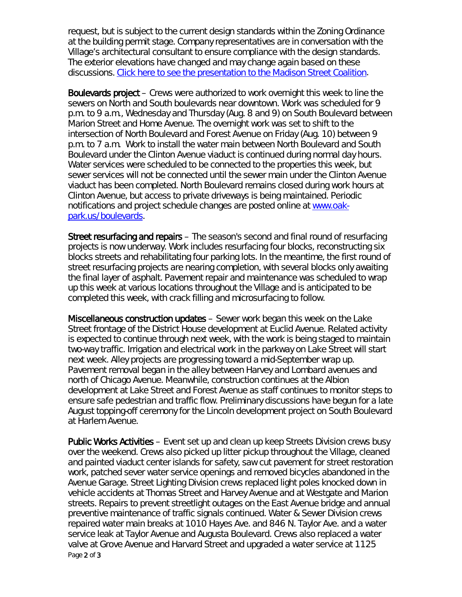request, but is subject to the current design standards within the Zoning Ordinance at the building permit stage. Company representatives are in conversation with the Village's architectural consultant to ensure compliance with the design standards. The exterior elevations have changed and may change again based on these discussions. [Click here to see the presentation to the Madison Street Coalition.](https://www.oak-park.us/sites/default/files/456678891/2018-07-11-500-lyman-madison-coalition-presentation.pdf)

Boulevards project – Crews were authorized to work overnight this week to line the sewers on North and South boulevards near downtown. Work was scheduled for 9 p.m. to 9 a.m., Wednesday and Thursday (Aug. 8 and 9) on South Boulevard between Marion Street and Home Avenue. The overnight work was set to shift to the intersection of North Boulevard and Forest Avenue on Friday (Aug. 10) between 9 p.m. to 7 a.m. Work to install the water main between North Boulevard and South Boulevard under the Clinton Avenue viaduct is continued during normal day hours. Water services were scheduled to be connected to the properties this week, but sewer services will not be connected until the sewer main under the Clinton Avenue viaduct has been completed. North Boulevard remains closed during work hours at Clinton Avenue, but access to private driveways is being maintained. Periodic notifications and project schedule changes are posted online at [www.oak](http://www.oak-park.us/boulevards)[park.us/boulevards.](http://www.oak-park.us/boulevards)

Street resurfacing and repairs – The season's second and final round of resurfacing projects is now underway. Work includes resurfacing four blocks, reconstructing six blocks streets and rehabilitating four parking lots. In the meantime, the first round of street resurfacing projects are nearing completion, with several blocks only awaiting the final layer of asphalt. Pavement repair and maintenance was scheduled to wrap up this week at various locations throughout the Village and is anticipated to be completed this week, with crack filling and microsurfacing to follow.

Miscellaneous construction updates – Sewer work began this week on the Lake Street frontage of the District House development at Euclid Avenue. Related activity is expected to continue through next week, with the work is being staged to maintain two-way traffic. Irrigation and electrical work in the parkway on Lake Street will start next week. Alley projects are progressing toward a mid-September wrap up. Pavement removal began in the alley between Harvey and Lombard avenues and north of Chicago Avenue. Meanwhile, construction continues at the Albion development at Lake Street and Forest Avenue as staff continues to monitor steps to ensure safe pedestrian and traffic flow. Preliminary discussions have begun for a late August topping-off ceremony for the Lincoln development project on South Boulevard at Harlem Avenue.

Page 2 of 3 Public Works Activities – Event set up and clean up keep Streets Division crews busy over the weekend. Crews also picked up litter pickup throughout the Village, cleaned and painted viaduct center islands for safety, saw cut pavement for street restoration work, patched sever water service openings and removed bicycles abandoned in the Avenue Garage. Street Lighting Division crews replaced light poles knocked down in vehicle accidents at Thomas Street and Harvey Avenue and at Westgate and Marion streets. Repairs to prevent streetlight outages on the East Avenue bridge and annual preventive maintenance of traffic signals continued. Water & Sewer Division crews repaired water main breaks at 1010 Hayes Ave. and 846 N. Taylor Ave. and a water service leak at Taylor Avenue and Augusta Boulevard. Crews also replaced a water valve at Grove Avenue and Harvard Street and upgraded a water service at 1125